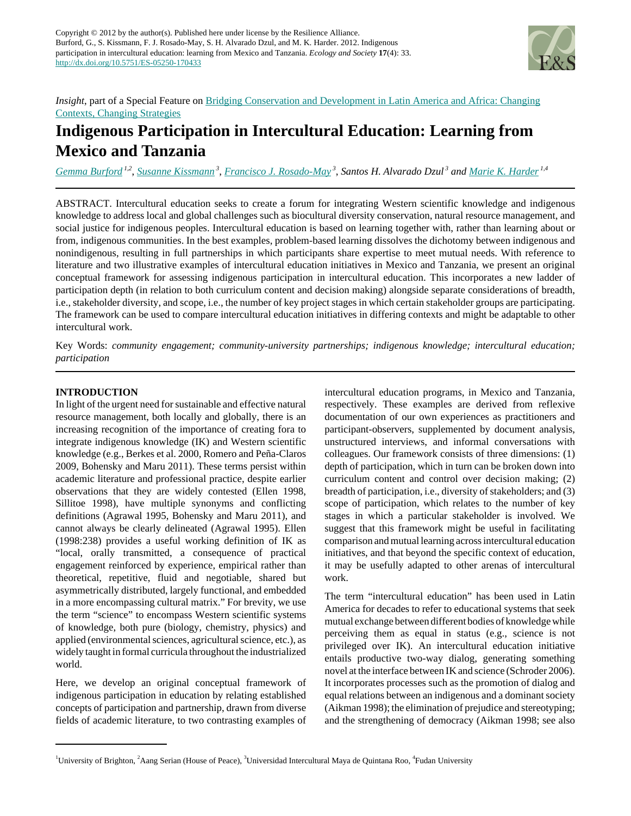

*Insight*, part of a Special Feature on [Bridging Conservation and Development in Latin America and Africa: Changing](http://www.ecologyandsociety.org/viewissue.php?sf=72) [Contexts, Changing Strategies](http://www.ecologyandsociety.org/viewissue.php?sf=72)

# **Indigenous Participation in Intercultural Education: Learning from Mexico and Tanzania**

*[Gemma Burford](mailto:G.L.Burford@brighton.ac.uk) 1,2* , *[Susanne Kissmann](mailto:suskiss@cruzio.com)<sup>3</sup>* , *[Francisco J. Rosado-May](mailto:fjrmay@hotmail.com)<sup>3</sup>* , *Santos H. Alvarado Dzul<sup>3</sup> and [Marie K. Harder](mailto:M.K.Harder@brighton.ac.uk) 1,4*

ABSTRACT. Intercultural education seeks to create a forum for integrating Western scientific knowledge and indigenous knowledge to address local and global challenges such as biocultural diversity conservation, natural resource management, and social justice for indigenous peoples. Intercultural education is based on learning together with, rather than learning about or from, indigenous communities. In the best examples, problem-based learning dissolves the dichotomy between indigenous and nonindigenous, resulting in full partnerships in which participants share expertise to meet mutual needs. With reference to literature and two illustrative examples of intercultural education initiatives in Mexico and Tanzania, we present an original conceptual framework for assessing indigenous participation in intercultural education. This incorporates a new ladder of participation depth (in relation to both curriculum content and decision making) alongside separate considerations of breadth, i.e., stakeholder diversity, and scope, i.e., the number of key project stages in which certain stakeholder groups are participating. The framework can be used to compare intercultural education initiatives in differing contexts and might be adaptable to other intercultural work.

Key Words: *community engagement; community-university partnerships; indigenous knowledge; intercultural education; participation*

# **INTRODUCTION**

In light of the urgent need for sustainable and effective natural resource management, both locally and globally, there is an increasing recognition of the importance of creating fora to integrate indigenous knowledge (IK) and Western scientific knowledge (e.g., Berkes et al. 2000, Romero and Peña-Claros 2009, Bohensky and Maru 2011). These terms persist within academic literature and professional practice, despite earlier observations that they are widely contested (Ellen 1998, Sillitoe 1998), have multiple synonyms and conflicting definitions (Agrawal 1995, Bohensky and Maru 2011), and cannot always be clearly delineated (Agrawal 1995). Ellen (1998:238) provides a useful working definition of IK as "local, orally transmitted, a consequence of practical engagement reinforced by experience, empirical rather than theoretical, repetitive, fluid and negotiable, shared but asymmetrically distributed, largely functional, and embedded in a more encompassing cultural matrix." For brevity, we use the term "science" to encompass Western scientific systems of knowledge, both pure (biology, chemistry, physics) and applied (environmental sciences, agricultural science, etc.), as widely taught in formal curricula throughout the industrialized world.

Here, we develop an original conceptual framework of indigenous participation in education by relating established concepts of participation and partnership, drawn from diverse fields of academic literature, to two contrasting examples of

intercultural education programs, in Mexico and Tanzania, respectively. These examples are derived from reflexive documentation of our own experiences as practitioners and participant-observers, supplemented by document analysis, unstructured interviews, and informal conversations with colleagues. Our framework consists of three dimensions: (1) depth of participation, which in turn can be broken down into curriculum content and control over decision making; (2) breadth of participation, i.e., diversity of stakeholders; and (3) scope of participation, which relates to the number of key stages in which a particular stakeholder is involved. We suggest that this framework might be useful in facilitating comparison and mutual learning across intercultural education initiatives, and that beyond the specific context of education, it may be usefully adapted to other arenas of intercultural work.

The term "intercultural education" has been used in Latin America for decades to refer to educational systems that seek mutual exchange between different bodies of knowledge while perceiving them as equal in status (e.g., science is not privileged over IK). An intercultural education initiative entails productive two-way dialog, generating something novel at the interface between IK and science (Schroder 2006). It incorporates processes such as the promotion of dialog and equal relations between an indigenous and a dominant society (Aikman 1998); the elimination of prejudice and stereotyping; and the strengthening of democracy (Aikman 1998; see also

<sup>&</sup>lt;sup>1</sup>University of Brighton, <sup>2</sup>Aang Serian (House of Peace), <sup>3</sup>Universidad Intercultural Maya de Quintana Roo, <sup>4</sup>Fudan University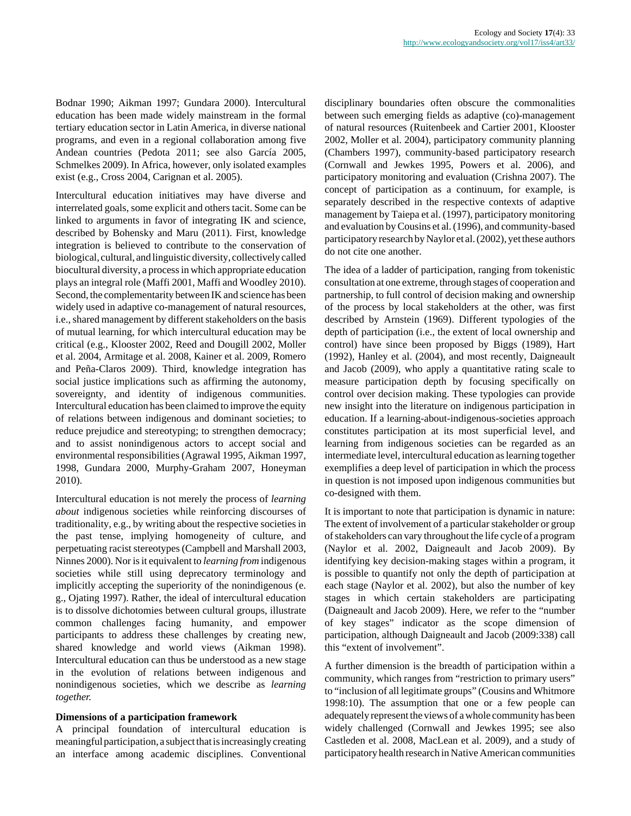Bodnar 1990; Aikman 1997; Gundara 2000). Intercultural education has been made widely mainstream in the formal tertiary education sector in Latin America, in diverse national programs, and even in a regional collaboration among five Andean countries (Pedota 2011; see also García 2005, Schmelkes 2009). In Africa, however, only isolated examples exist (e.g., Cross 2004, Carignan et al. 2005).

Intercultural education initiatives may have diverse and interrelated goals, some explicit and others tacit. Some can be linked to arguments in favor of integrating IK and science, described by Bohensky and Maru (2011). First, knowledge integration is believed to contribute to the conservation of biological, cultural, and linguistic diversity, collectively called biocultural diversity, a process in which appropriate education plays an integral role (Maffi 2001, Maffi and Woodley 2010). Second, the complementarity between IK and science has been widely used in adaptive co-management of natural resources, i.e., shared management by different stakeholders on the basis of mutual learning, for which intercultural education may be critical (e.g., Klooster 2002, Reed and Dougill 2002, Moller et al. 2004, Armitage et al. 2008, Kainer et al. 2009, Romero and Peña-Claros 2009). Third, knowledge integration has social justice implications such as affirming the autonomy, sovereignty, and identity of indigenous communities. Intercultural education has been claimed to improve the equity of relations between indigenous and dominant societies; to reduce prejudice and stereotyping; to strengthen democracy; and to assist nonindigenous actors to accept social and environmental responsibilities (Agrawal 1995, Aikman 1997, 1998, Gundara 2000, Murphy-Graham 2007, Honeyman 2010).

Intercultural education is not merely the process of *learning about* indigenous societies while reinforcing discourses of traditionality, e.g., by writing about the respective societies in the past tense, implying homogeneity of culture, and perpetuating racist stereotypes (Campbell and Marshall 2003, Ninnes 2000). Nor is it equivalent to *learning from* indigenous societies while still using deprecatory terminology and implicitly accepting the superiority of the nonindigenous (e. g., Ojating 1997). Rather, the ideal of intercultural education is to dissolve dichotomies between cultural groups, illustrate common challenges facing humanity, and empower participants to address these challenges by creating new, shared knowledge and world views (Aikman 1998). Intercultural education can thus be understood as a new stage in the evolution of relations between indigenous and nonindigenous societies, which we describe as *learning together.*

## **Dimensions of a participation framework**

A principal foundation of intercultural education is meaningful participation, a subject that is increasingly creating an interface among academic disciplines. Conventional disciplinary boundaries often obscure the commonalities between such emerging fields as adaptive (co)-management of natural resources (Ruitenbeek and Cartier 2001, Klooster 2002, Moller et al. 2004), participatory community planning (Chambers 1997), community-based participatory research (Cornwall and Jewkes 1995, Powers et al. 2006), and participatory monitoring and evaluation (Crishna 2007). The concept of participation as a continuum, for example, is separately described in the respective contexts of adaptive management by Taiepa et al. (1997), participatory monitoring and evaluation by Cousins et al. (1996), and community-based participatory research by Naylor et al. (2002), yet these authors do not cite one another.

The idea of a ladder of participation, ranging from tokenistic consultation at one extreme, through stages of cooperation and partnership, to full control of decision making and ownership of the process by local stakeholders at the other, was first described by Arnstein (1969). Different typologies of the depth of participation (i.e., the extent of local ownership and control) have since been proposed by Biggs (1989), Hart (1992), Hanley et al. (2004), and most recently, Daigneault and Jacob (2009), who apply a quantitative rating scale to measure participation depth by focusing specifically on control over decision making. These typologies can provide new insight into the literature on indigenous participation in education. If a learning-about-indigenous-societies approach constitutes participation at its most superficial level, and learning from indigenous societies can be regarded as an intermediate level, intercultural education as learning together exemplifies a deep level of participation in which the process in question is not imposed upon indigenous communities but co-designed with them.

It is important to note that participation is dynamic in nature: The extent of involvement of a particular stakeholder or group of stakeholders can vary throughout the life cycle of a program (Naylor et al. 2002, Daigneault and Jacob 2009). By identifying key decision-making stages within a program, it is possible to quantify not only the depth of participation at each stage (Naylor et al. 2002), but also the number of key stages in which certain stakeholders are participating (Daigneault and Jacob 2009). Here, we refer to the "number of key stages" indicator as the scope dimension of participation, although Daigneault and Jacob (2009:338) call this "extent of involvement".

A further dimension is the breadth of participation within a community, which ranges from "restriction to primary users" to "inclusion of all legitimate groups" (Cousins and Whitmore 1998:10). The assumption that one or a few people can adequately represent the views of a whole community has been widely challenged (Cornwall and Jewkes 1995; see also Castleden et al. 2008, MacLean et al. 2009), and a study of participatory health research in Native American communities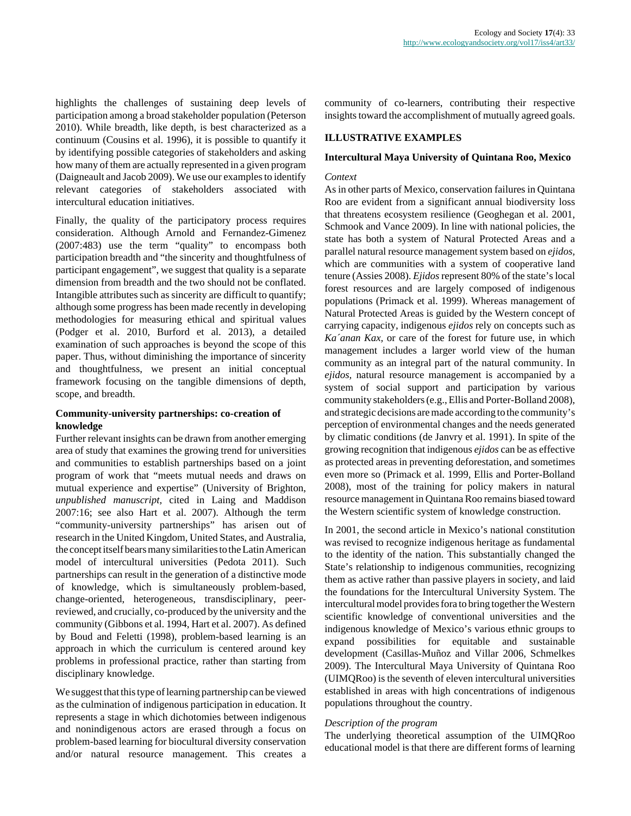highlights the challenges of sustaining deep levels of participation among a broad stakeholder population (Peterson 2010). While breadth, like depth, is best characterized as a continuum (Cousins et al. 1996), it is possible to quantify it by identifying possible categories of stakeholders and asking how many of them are actually represented in a given program (Daigneault and Jacob 2009). We use our examples to identify relevant categories of stakeholders associated with intercultural education initiatives.

Finally, the quality of the participatory process requires consideration. Although Arnold and Fernandez-Gimenez (2007:483) use the term "quality" to encompass both participation breadth and "the sincerity and thoughtfulness of participant engagement", we suggest that quality is a separate dimension from breadth and the two should not be conflated. Intangible attributes such as sincerity are difficult to quantify; although some progress has been made recently in developing methodologies for measuring ethical and spiritual values (Podger et al. 2010, Burford et al. 2013), a detailed examination of such approaches is beyond the scope of this paper. Thus, without diminishing the importance of sincerity and thoughtfulness, we present an initial conceptual framework focusing on the tangible dimensions of depth, scope, and breadth.

# **Community-university partnerships: co-creation of knowledge**

Further relevant insights can be drawn from another emerging area of study that examines the growing trend for universities and communities to establish partnerships based on a joint program of work that "meets mutual needs and draws on mutual experience and expertise" (University of Brighton, *unpublished manuscript,* cited in Laing and Maddison 2007:16; see also Hart et al. 2007). Although the term "community-university partnerships" has arisen out of research in the United Kingdom, United States, and Australia, the concept itself bears many similarities to the Latin American model of intercultural universities (Pedota 2011). Such partnerships can result in the generation of a distinctive mode of knowledge, which is simultaneously problem-based, change-oriented, heterogeneous, transdisciplinary, peerreviewed, and crucially, co-produced by the university and the community (Gibbons et al. 1994, Hart et al. 2007). As defined by Boud and Feletti (1998), problem-based learning is an approach in which the curriculum is centered around key problems in professional practice, rather than starting from disciplinary knowledge.

We suggest that this type of learning partnership can be viewed as the culmination of indigenous participation in education. It represents a stage in which dichotomies between indigenous and nonindigenous actors are erased through a focus on problem-based learning for biocultural diversity conservation and/or natural resource management. This creates a community of co-learners, contributing their respective insights toward the accomplishment of mutually agreed goals.

# **ILLUSTRATIVE EXAMPLES**

# **Intercultural Maya University of Quintana Roo, Mexico**

## *Context*

As in other parts of Mexico, conservation failures in Quintana Roo are evident from a significant annual biodiversity loss that threatens ecosystem resilience (Geoghegan et al. 2001, Schmook and Vance 2009). In line with national policies, the state has both a system of Natural Protected Areas and a parallel natural resource management system based on *ejidos,* which are communities with a system of cooperative land tenure (Assies 2008). *Ejidos* represent 80% of the state's local forest resources and are largely composed of indigenous populations (Primack et al. 1999). Whereas management of Natural Protected Areas is guided by the Western concept of carrying capacity, indigenous *ejidos* rely on concepts such as *Ka´anan Kax,* or care of the forest for future use, in which management includes a larger world view of the human community as an integral part of the natural community. In *ejidos,* natural resource management is accompanied by a system of social support and participation by various community stakeholders (e.g., Ellis and Porter-Bolland 2008), and strategic decisions are made according to the community's perception of environmental changes and the needs generated by climatic conditions (de Janvry et al. 1991). In spite of the growing recognition that indigenous *ejidos* can be as effective as protected areas in preventing deforestation, and sometimes even more so (Primack et al. 1999, Ellis and Porter-Bolland 2008), most of the training for policy makers in natural resource management in Quintana Roo remains biased toward the Western scientific system of knowledge construction.

In 2001, the second article in Mexico's national constitution was revised to recognize indigenous heritage as fundamental to the identity of the nation. This substantially changed the State's relationship to indigenous communities, recognizing them as active rather than passive players in society, and laid the foundations for the Intercultural University System. The intercultural model provides fora to bring together the Western scientific knowledge of conventional universities and the indigenous knowledge of Mexico's various ethnic groups to expand possibilities for equitable and sustainable development (Casillas-Muñoz and Villar 2006, Schmelkes 2009). The Intercultural Maya University of Quintana Roo (UIMQRoo) is the seventh of eleven intercultural universities established in areas with high concentrations of indigenous populations throughout the country.

# *Description of the program*

The underlying theoretical assumption of the UIMQRoo educational model is that there are different forms of learning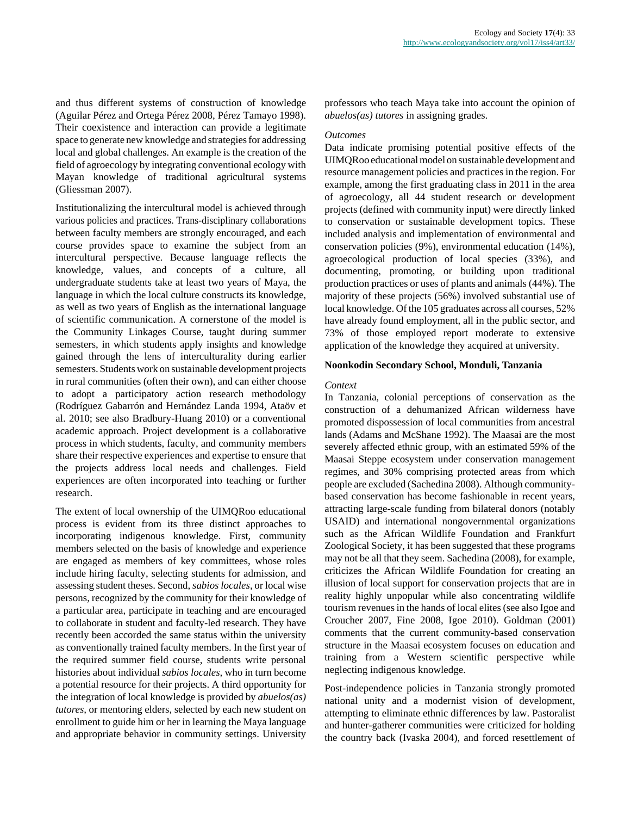and thus different systems of construction of knowledge (Aguilar Pérez and Ortega Pérez 2008, Pérez Tamayo 1998). Their coexistence and interaction can provide a legitimate space to generate new knowledge and strategies for addressing local and global challenges. An example is the creation of the field of agroecology by integrating conventional ecology with Mayan knowledge of traditional agricultural systems (Gliessman 2007).

Institutionalizing the intercultural model is achieved through various policies and practices. Trans-disciplinary collaborations between faculty members are strongly encouraged, and each course provides space to examine the subject from an intercultural perspective. Because language reflects the knowledge, values, and concepts of a culture, all undergraduate students take at least two years of Maya, the language in which the local culture constructs its knowledge, as well as two years of English as the international language of scientific communication. A cornerstone of the model is the Community Linkages Course, taught during summer semesters, in which students apply insights and knowledge gained through the lens of interculturality during earlier semesters. Students work on sustainable development projects in rural communities (often their own), and can either choose to adopt a participatory action research methodology (Rodríguez Gabarrón and Hernández Landa 1994, Ataöv et al. 2010; see also Bradbury-Huang 2010) or a conventional academic approach. Project development is a collaborative process in which students, faculty, and community members share their respective experiences and expertise to ensure that the projects address local needs and challenges. Field experiences are often incorporated into teaching or further research.

The extent of local ownership of the UIMQRoo educational process is evident from its three distinct approaches to incorporating indigenous knowledge. First, community members selected on the basis of knowledge and experience are engaged as members of key committees, whose roles include hiring faculty, selecting students for admission, and assessing student theses. Second, *sabios locales,* or local wise persons, recognized by the community for their knowledge of a particular area, participate in teaching and are encouraged to collaborate in student and faculty-led research. They have recently been accorded the same status within the university as conventionally trained faculty members. In the first year of the required summer field course, students write personal histories about individual *sabios locales,* who in turn become a potential resource for their projects. A third opportunity for the integration of local knowledge is provided by *abuelos(as) tutores,* or mentoring elders, selected by each new student on enrollment to guide him or her in learning the Maya language and appropriate behavior in community settings. University

professors who teach Maya take into account the opinion of *abuelos(as) tutores* in assigning grades.

## *Outcomes*

Data indicate promising potential positive effects of the UIMQRoo educational model on sustainable development and resource management policies and practices in the region. For example, among the first graduating class in 2011 in the area of agroecology, all 44 student research or development projects (defined with community input) were directly linked to conservation or sustainable development topics. These included analysis and implementation of environmental and conservation policies (9%), environmental education (14%), agroecological production of local species (33%), and documenting, promoting, or building upon traditional production practices or uses of plants and animals (44%). The majority of these projects (56%) involved substantial use of local knowledge. Of the 105 graduates across all courses, 52% have already found employment, all in the public sector, and 73% of those employed report moderate to extensive application of the knowledge they acquired at university.

#### **Noonkodin Secondary School, Monduli, Tanzania**

#### *Context*

In Tanzania, colonial perceptions of conservation as the construction of a dehumanized African wilderness have promoted dispossession of local communities from ancestral lands (Adams and McShane 1992). The Maasai are the most severely affected ethnic group, with an estimated 59% of the Maasai Steppe ecosystem under conservation management regimes, and 30% comprising protected areas from which people are excluded (Sachedina 2008). Although communitybased conservation has become fashionable in recent years, attracting large-scale funding from bilateral donors (notably USAID) and international nongovernmental organizations such as the African Wildlife Foundation and Frankfurt Zoological Society, it has been suggested that these programs may not be all that they seem. Sachedina (2008), for example, criticizes the African Wildlife Foundation for creating an illusion of local support for conservation projects that are in reality highly unpopular while also concentrating wildlife tourism revenues in the hands of local elites (see also Igoe and Croucher 2007, Fine 2008, Igoe 2010). Goldman (2001) comments that the current community-based conservation structure in the Maasai ecosystem focuses on education and training from a Western scientific perspective while neglecting indigenous knowledge.

Post-independence policies in Tanzania strongly promoted national unity and a modernist vision of development, attempting to eliminate ethnic differences by law. Pastoralist and hunter-gatherer communities were criticized for holding the country back (Ivaska 2004), and forced resettlement of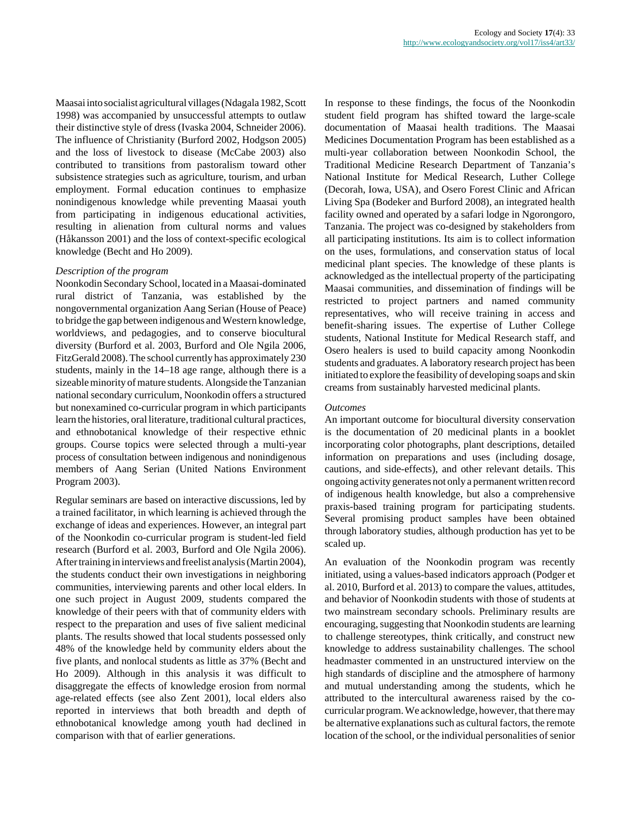Maasai into socialist agricultural villages (Ndagala 1982, Scott 1998) was accompanied by unsuccessful attempts to outlaw their distinctive style of dress (Ivaska 2004, Schneider 2006). The influence of Christianity (Burford 2002, Hodgson 2005) and the loss of livestock to disease (McCabe 2003) also contributed to transitions from pastoralism toward other subsistence strategies such as agriculture, tourism, and urban employment. Formal education continues to emphasize nonindigenous knowledge while preventing Maasai youth from participating in indigenous educational activities, resulting in alienation from cultural norms and values (Håkansson 2001) and the loss of context-specific ecological knowledge (Becht and Ho 2009).

## *Description of the program*

Noonkodin Secondary School, located in a Maasai-dominated rural district of Tanzania, was established by the nongovernmental organization Aang Serian (House of Peace) to bridge the gap between indigenous and Western knowledge, worldviews, and pedagogies, and to conserve biocultural diversity (Burford et al. 2003, Burford and Ole Ngila 2006, FitzGerald 2008). The school currently has approximately 230 students, mainly in the 14–18 age range, although there is a sizeable minority of mature students. Alongside the Tanzanian national secondary curriculum, Noonkodin offers a structured but nonexamined co-curricular program in which participants learn the histories, oral literature, traditional cultural practices, and ethnobotanical knowledge of their respective ethnic groups. Course topics were selected through a multi-year process of consultation between indigenous and nonindigenous members of Aang Serian (United Nations Environment Program 2003).

Regular seminars are based on interactive discussions, led by a trained facilitator, in which learning is achieved through the exchange of ideas and experiences. However, an integral part of the Noonkodin co-curricular program is student-led field research (Burford et al. 2003, Burford and Ole Ngila 2006). After training in interviews and freelist analysis (Martin 2004), the students conduct their own investigations in neighboring communities, interviewing parents and other local elders. In one such project in August 2009, students compared the knowledge of their peers with that of community elders with respect to the preparation and uses of five salient medicinal plants. The results showed that local students possessed only 48% of the knowledge held by community elders about the five plants, and nonlocal students as little as 37% (Becht and Ho 2009). Although in this analysis it was difficult to disaggregate the effects of knowledge erosion from normal age-related effects (see also Zent 2001), local elders also reported in interviews that both breadth and depth of ethnobotanical knowledge among youth had declined in comparison with that of earlier generations.

In response to these findings, the focus of the Noonkodin student field program has shifted toward the large-scale documentation of Maasai health traditions. The Maasai Medicines Documentation Program has been established as a multi-year collaboration between Noonkodin School, the Traditional Medicine Research Department of Tanzania's National Institute for Medical Research, Luther College (Decorah, Iowa, USA), and Osero Forest Clinic and African Living Spa (Bodeker and Burford 2008), an integrated health facility owned and operated by a safari lodge in Ngorongoro, Tanzania. The project was co-designed by stakeholders from all participating institutions. Its aim is to collect information on the uses, formulations, and conservation status of local medicinal plant species. The knowledge of these plants is acknowledged as the intellectual property of the participating Maasai communities, and dissemination of findings will be restricted to project partners and named community representatives, who will receive training in access and benefit-sharing issues. The expertise of Luther College students, National Institute for Medical Research staff, and Osero healers is used to build capacity among Noonkodin students and graduates. A laboratory research project has been initiated to explore the feasibility of developing soaps and skin creams from sustainably harvested medicinal plants.

#### *Outcomes*

An important outcome for biocultural diversity conservation is the documentation of 20 medicinal plants in a booklet incorporating color photographs, plant descriptions, detailed information on preparations and uses (including dosage, cautions, and side-effects), and other relevant details. This ongoing activity generates not only a permanent written record of indigenous health knowledge, but also a comprehensive praxis-based training program for participating students. Several promising product samples have been obtained through laboratory studies, although production has yet to be scaled up.

An evaluation of the Noonkodin program was recently initiated, using a values-based indicators approach (Podger et al. 2010, Burford et al. 2013) to compare the values, attitudes, and behavior of Noonkodin students with those of students at two mainstream secondary schools. Preliminary results are encouraging, suggesting that Noonkodin students are learning to challenge stereotypes, think critically, and construct new knowledge to address sustainability challenges. The school headmaster commented in an unstructured interview on the high standards of discipline and the atmosphere of harmony and mutual understanding among the students, which he attributed to the intercultural awareness raised by the cocurricular program. We acknowledge, however, that there may be alternative explanations such as cultural factors, the remote location of the school, or the individual personalities of senior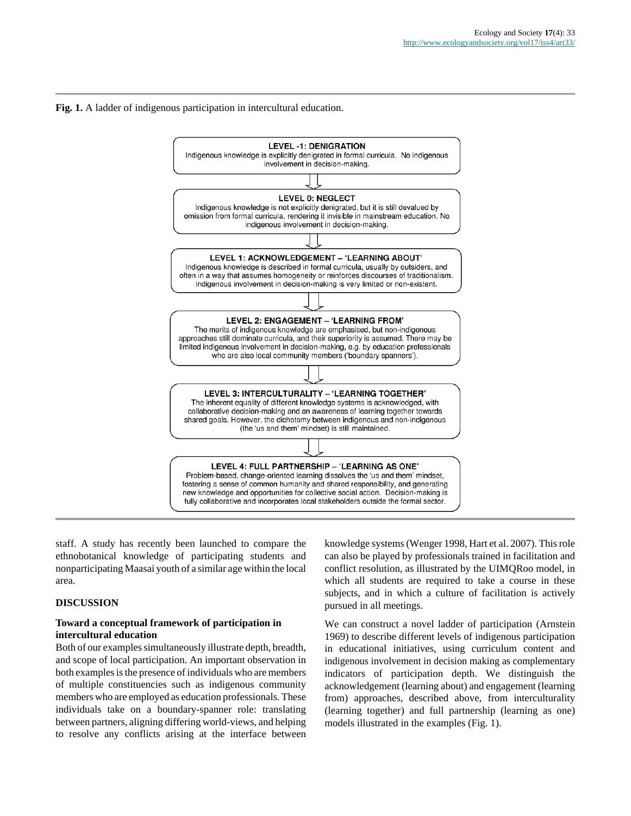## **Fig. 1.** A ladder of indigenous participation in intercultural education.



staff. A study has recently been launched to compare the ethnobotanical knowledge of participating students and nonparticipating Maasai youth of a similar age within the local area.

## **DISCUSSION**

## **Toward a conceptual framework of participation in intercultural education**

Both of our examples simultaneously illustrate depth, breadth, and scope of local participation. An important observation in both examples is the presence of individuals who are members of multiple constituencies such as indigenous community members who are employed as education professionals. These individuals take on a boundary-spanner role: translating between partners, aligning differing world-views, and helping to resolve any conflicts arising at the interface between

knowledge systems (Wenger 1998, Hart et al. 2007). This role can also be played by professionals trained in facilitation and conflict resolution, as illustrated by the UIMQRoo model, in which all students are required to take a course in these subjects, and in which a culture of facilitation is actively pursued in all meetings.

We can construct a novel ladder of participation (Arnstein 1969) to describe different levels of indigenous participation in educational initiatives, using curriculum content and indigenous involvement in decision making as complementary indicators of participation depth. We distinguish the acknowledgement (learning about) and engagement (learning from) approaches, described above, from interculturality (learning together) and full partnership (learning as one) models illustrated in the examples (Fig. 1).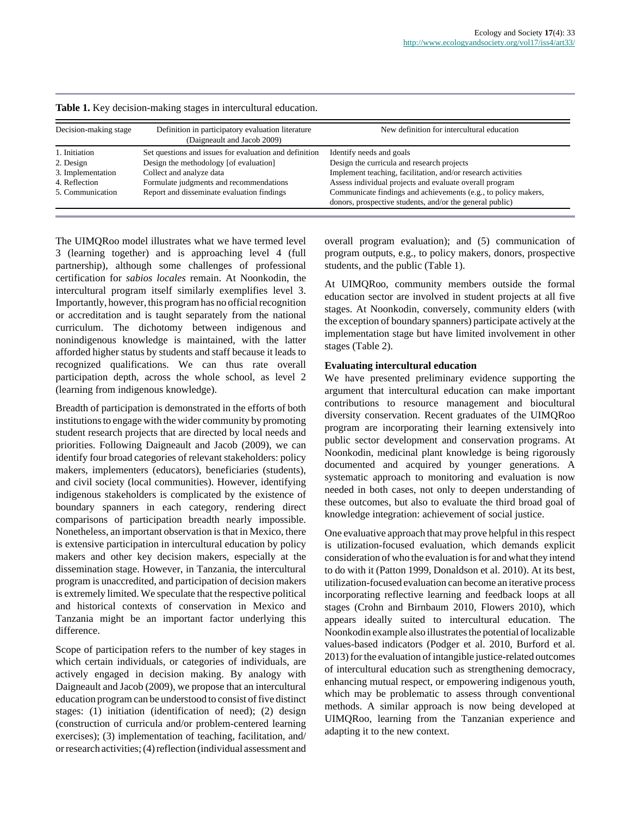| Decision-making stage | Definition in participatory evaluation literature<br>(Daigneault and Jacob 2009) | New definition for intercultural education                                                                                 |
|-----------------------|----------------------------------------------------------------------------------|----------------------------------------------------------------------------------------------------------------------------|
| 1. Initiation         | Set questions and issues for evaluation and definition                           | Identify needs and goals                                                                                                   |
| 2. Design             | Design the methodology [of evaluation]                                           | Design the curricula and research projects                                                                                 |
| 3. Implementation     | Collect and analyze data                                                         | Implement teaching, facilitation, and/or research activities                                                               |
| 4. Reflection         | Formulate judgments and recommendations                                          | Assess individual projects and evaluate overall program                                                                    |
| 5. Communication      | Report and disseminate evaluation findings                                       | Communicate findings and achievements (e.g., to policy makers,<br>donors, prospective students, and/or the general public) |

**Table 1.** Key decision-making stages in intercultural education.

The UIMQRoo model illustrates what we have termed level 3 (learning together) and is approaching level 4 (full partnership), although some challenges of professional certification for *sabios locales* remain. At Noonkodin, the intercultural program itself similarly exemplifies level 3. Importantly, however, this program has no official recognition or accreditation and is taught separately from the national curriculum. The dichotomy between indigenous and nonindigenous knowledge is maintained, with the latter afforded higher status by students and staff because it leads to recognized qualifications. We can thus rate overall participation depth, across the whole school, as level 2 (learning from indigenous knowledge).

Breadth of participation is demonstrated in the efforts of both institutions to engage with the wider community by promoting student research projects that are directed by local needs and priorities. Following Daigneault and Jacob (2009), we can identify four broad categories of relevant stakeholders: policy makers, implementers (educators), beneficiaries (students), and civil society (local communities). However, identifying indigenous stakeholders is complicated by the existence of boundary spanners in each category, rendering direct comparisons of participation breadth nearly impossible. Nonetheless, an important observation is that in Mexico, there is extensive participation in intercultural education by policy makers and other key decision makers, especially at the dissemination stage. However, in Tanzania, the intercultural program is unaccredited, and participation of decision makers is extremely limited. We speculate that the respective political and historical contexts of conservation in Mexico and Tanzania might be an important factor underlying this difference.

Scope of participation refers to the number of key stages in which certain individuals, or categories of individuals, are actively engaged in decision making. By analogy with Daigneault and Jacob (2009), we propose that an intercultural education program can be understood to consist of five distinct stages: (1) initiation (identification of need); (2) design (construction of curricula and/or problem-centered learning exercises); (3) implementation of teaching, facilitation, and/ or research activities; (4) reflection (individual assessment and

overall program evaluation); and (5) communication of program outputs, e.g., to policy makers, donors, prospective students, and the public (Table 1).

At UIMQRoo, community members outside the formal education sector are involved in student projects at all five stages. At Noonkodin, conversely, community elders (with the exception of boundary spanners) participate actively at the implementation stage but have limited involvement in other stages (Table 2).

# **Evaluating intercultural education**

We have presented preliminary evidence supporting the argument that intercultural education can make important contributions to resource management and biocultural diversity conservation. Recent graduates of the UIMQRoo program are incorporating their learning extensively into public sector development and conservation programs. At Noonkodin, medicinal plant knowledge is being rigorously documented and acquired by younger generations. A systematic approach to monitoring and evaluation is now needed in both cases, not only to deepen understanding of these outcomes, but also to evaluate the third broad goal of knowledge integration: achievement of social justice.

One evaluative approach that may prove helpful in this respect is utilization-focused evaluation, which demands explicit consideration of who the evaluation is for and what they intend to do with it (Patton 1999, Donaldson et al. 2010). At its best, utilization-focused evaluation can become an iterative process incorporating reflective learning and feedback loops at all stages (Crohn and Birnbaum 2010, Flowers 2010), which appears ideally suited to intercultural education. The Noonkodin example also illustrates the potential of localizable values-based indicators (Podger et al. 2010, Burford et al. 2013) for the evaluation of intangible justice-related outcomes of intercultural education such as strengthening democracy, enhancing mutual respect, or empowering indigenous youth, which may be problematic to assess through conventional methods. A similar approach is now being developed at UIMQRoo, learning from the Tanzanian experience and adapting it to the new context.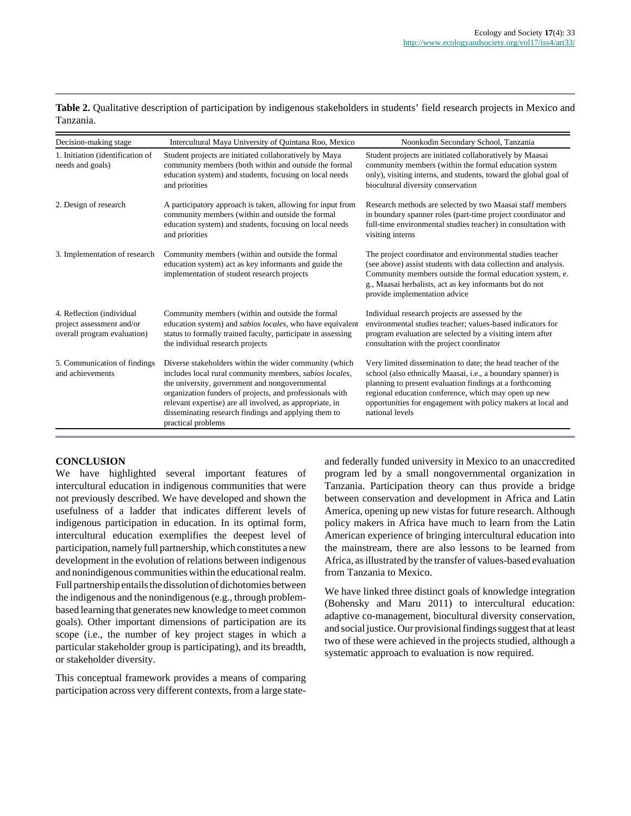|           | Table 2. Qualitative description of participation by indigenous stakeholders in students' field research projects in Mexico and |  |  |  |
|-----------|---------------------------------------------------------------------------------------------------------------------------------|--|--|--|
| Tanzania. |                                                                                                                                 |  |  |  |

| Decision-making stage                                                                 | Intercultural Maya University of Quintana Roo, Mexico                                                                                                                                                                                                                                                                                                                     | Noonkodin Secondary School, Tanzania                                                                                                                                                                                                                                                                                               |
|---------------------------------------------------------------------------------------|---------------------------------------------------------------------------------------------------------------------------------------------------------------------------------------------------------------------------------------------------------------------------------------------------------------------------------------------------------------------------|------------------------------------------------------------------------------------------------------------------------------------------------------------------------------------------------------------------------------------------------------------------------------------------------------------------------------------|
| 1. Initiation (identification of<br>needs and goals)                                  | Student projects are initiated collaboratively by Maya<br>community members (both within and outside the formal<br>education system) and students, focusing on local needs<br>and priorities                                                                                                                                                                              | Student projects are initiated collaboratively by Maasai<br>community members (within the formal education system<br>only), visiting interns, and students, toward the global goal of<br>biocultural diversity conservation                                                                                                        |
| 2. Design of research                                                                 | A participatory approach is taken, allowing for input from<br>community members (within and outside the formal<br>education system) and students, focusing on local needs<br>and priorities                                                                                                                                                                               | Research methods are selected by two Maasai staff members<br>in boundary spanner roles (part-time project coordinator and<br>full-time environmental studies teacher) in consultation with<br>visiting interns                                                                                                                     |
| 3. Implementation of research                                                         | Community members (within and outside the formal<br>education system) act as key informants and guide the<br>implementation of student research projects                                                                                                                                                                                                                  | The project coordinator and environmental studies teacher<br>(see above) assist students with data collection and analysis.<br>Community members outside the formal education system, e.<br>g., Maasai herbalists, act as key informants but do not<br>provide implementation advice                                               |
| 4. Reflection (individual<br>project assessment and/or<br>overall program evaluation) | Community members (within and outside the formal<br>education system) and <i>sabios locales</i> , who have equivalent<br>status to formally trained faculty, participate in assessing<br>the individual research projects                                                                                                                                                 | Individual research projects are assessed by the<br>environmental studies teacher; values-based indicators for<br>program evaluation are selected by a visiting intern after<br>consultation with the project coordinator                                                                                                          |
| 5. Communication of findings<br>and achievements                                      | Diverse stakeholders within the wider community (which<br>includes local rural community members, sabios locales,<br>the university, government and nongovernmental<br>organization funders of projects, and professionals with<br>relevant expertise) are all involved, as appropriate, in<br>disseminating research findings and applying them to<br>practical problems | Very limited dissemination to date; the head teacher of the<br>school (also ethnically Maasai, i.e., a boundary spanner) is<br>planning to present evaluation findings at a forthcoming<br>regional education conference, which may open up new<br>opportunities for engagement with policy makers at local and<br>national levels |

# **CONCLUSION**

We have highlighted several important features of intercultural education in indigenous communities that were not previously described. We have developed and shown the usefulness of a ladder that indicates different levels of indigenous participation in education. In its optimal form, intercultural education exemplifies the deepest level of participation, namely full partnership, which constitutes a new development in the evolution of relations between indigenous and nonindigenous communities within the educational realm. Full partnership entails the dissolution of dichotomies between the indigenous and the nonindigenous (e.g., through problembased learning that generates new knowledge to meet common goals). Other important dimensions of participation are its scope (i.e., the number of key project stages in which a particular stakeholder group is participating), and its breadth, or stakeholder diversity.

This conceptual framework provides a means of comparing participation across very different contexts, from a large stateand federally funded university in Mexico to an unaccredited program led by a small nongovernmental organization in Tanzania. Participation theory can thus provide a bridge between conservation and development in Africa and Latin America, opening up new vistas for future research. Although policy makers in Africa have much to learn from the Latin American experience of bringing intercultural education into the mainstream, there are also lessons to be learned from Africa, as illustrated by the transfer of values-based evaluation from Tanzania to Mexico.

We have linked three distinct goals of knowledge integration (Bohensky and Maru 2011) to intercultural education: adaptive co-management, biocultural diversity conservation, and social justice. Our provisional findings suggest that at least two of these were achieved in the projects studied, although a systematic approach to evaluation is now required.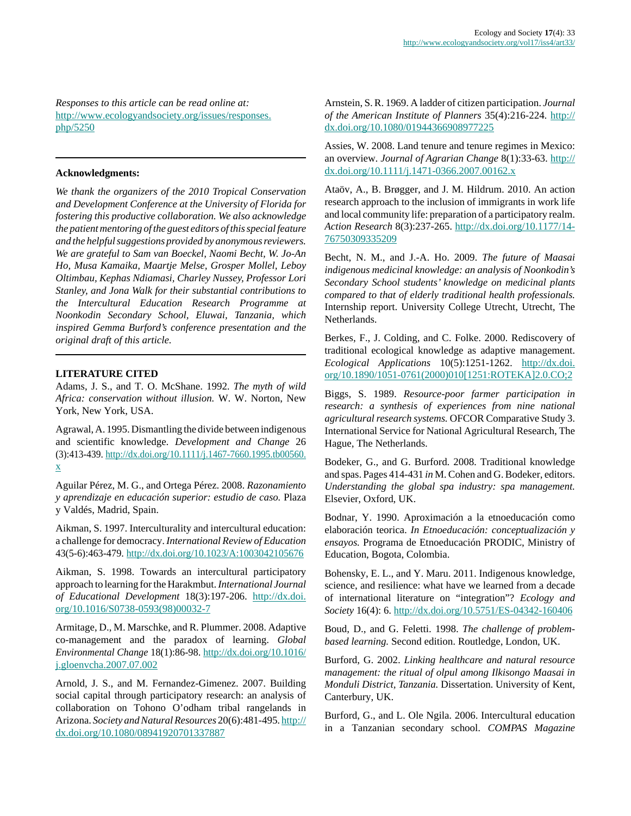*Responses to this article can be read online at:* [http://www.ecologyandsociety.org/issues/responses.](http://www.ecologyandsociety.org/issues/responses.php/5250) [php/5250](http://www.ecologyandsociety.org/issues/responses.php/5250)

## **Acknowledgments:**

*We thank the organizers of the 2010 Tropical Conservation and Development Conference at the University of Florida for fostering this productive collaboration. We also acknowledge the patient mentoring of the guest editors of this special feature and the helpful suggestions provided by anonymous reviewers. We are grateful to Sam van Boeckel, Naomi Becht, W. Jo-An Ho, Musa Kamaika, Maartje Melse, Grosper Mollel, Leboy Oltimbau, Kephas Ndiamasi, Charley Nussey, Professor Lori Stanley, and Jona Walk for their substantial contributions to the Intercultural Education Research Programme at Noonkodin Secondary School, Eluwai, Tanzania, which inspired Gemma Burford's conference presentation and the original draft of this article.*

#### **LITERATURE CITED**

Adams, J. S., and T. O. McShane. 1992. *The myth of wild Africa: conservation without illusion.* W. W. Norton, New York, New York, USA.

Agrawal, A. 1995. Dismantling the divide between indigenous and scientific knowledge. *Development and Change* 26 (3):413-439. [http://dx.doi.org/10.1111/j.1467-7660.1995.tb00560.](http://dx.doi.org/10.1111/j.1467-7660.1995.tb00560.x) [x](http://dx.doi.org/10.1111/j.1467-7660.1995.tb00560.x)

Aguilar Pérez, M. G., and Ortega Pérez. 2008. *Razonamiento y aprendizaje en educación superior: estudio de caso.* Plaza y Valdés, Madrid, Spain.

Aikman, S. 1997. Interculturality and intercultural education: a challenge for democracy. *International Review of Education* 43(5-6):463-479. <http://dx.doi.org/10.1023/A:1003042105676>

Aikman, S. 1998. Towards an intercultural participatory approach to learning for the Harakmbut. *International Journal of Educational Development* 18(3):197-206. [http://dx.doi.](http://dx.doi.org/10.1016/S0738-0593(98)00032-7) [org/10.1016/S0738-0593\(98\)00032-7](http://dx.doi.org/10.1016/S0738-0593(98)00032-7)

Armitage, D., M. Marschke, and R. Plummer. 2008. Adaptive co-management and the paradox of learning. *Global Environmental Change* 18(1):86-98. [http://dx.doi.org/10.1016/](http://dx.doi.org/10.1016/j.gloenvcha.2007.07.002) [j.gloenvcha.2007.07.002](http://dx.doi.org/10.1016/j.gloenvcha.2007.07.002)

Arnold, J. S., and M. Fernandez-Gimenez. 2007. Building social capital through participatory research: an analysis of collaboration on Tohono O'odham tribal rangelands in Arizona. *Society and Natural Resources* 20(6):481-495. [http://](http://dx.doi.org/10.1080/08941920701337887) [dx.doi.org/10.1080/08941920701337887](http://dx.doi.org/10.1080/08941920701337887)

Arnstein, S. R. 1969. A ladder of citizen participation. *Journal of the American Institute of Planners* 35(4):216-224. [http://](http://dx.doi.org/10.1080/01944366908977225) [dx.doi.org/10.1080/01944366908977225](http://dx.doi.org/10.1080/01944366908977225)

Assies, W. 2008. Land tenure and tenure regimes in Mexico: an overview. *Journal of Agrarian Change* 8(1):33-63. [http://](http://dx.doi.org/10.1111/j.1471-0366.2007.00162.x) [dx.doi.org/10.1111/j.1471-0366.2007.00162.x](http://dx.doi.org/10.1111/j.1471-0366.2007.00162.x)

Ataöv, A., B. Brøgger, and J. M. Hildrum. 2010. An action research approach to the inclusion of immigrants in work life and local community life: preparation of a participatory realm. *Action Research* 8(3):237-265. [http://dx.doi.org/10.1177/14-](http://dx.doi.org/10.1177/1476750309335209) [76750309335209](http://dx.doi.org/10.1177/1476750309335209)

Becht, N. M., and J.-A. Ho. 2009. *The future of Maasai indigenous medicinal knowledge: an analysis of Noonkodin's Secondary School students' knowledge on medicinal plants compared to that of elderly traditional health professionals.* Internship report. University College Utrecht, Utrecht, The Netherlands.

Berkes, F., J. Colding, and C. Folke. 2000. Rediscovery of traditional ecological knowledge as adaptive management. *Ecological Applications* 10(5):1251-1262. [http://dx.doi.](http://dx.doi.org/10.1890/1051-0761(2000)010[1251:ROTEKA]2.0.CO;2) [org/10.1890/1051-0761\(2000\)010\[1251:ROTEKA\]2.0.CO;2](http://dx.doi.org/10.1890/1051-0761(2000)010[1251:ROTEKA]2.0.CO;2)

Biggs, S. 1989. *Resource-poor farmer participation in research: a synthesis of experiences from nine national agricultural research systems.* OFCOR Comparative Study 3. International Service for National Agricultural Research, The Hague, The Netherlands.

Bodeker, G., and G. Burford. 2008. Traditional knowledge and spas. Pages 414-431 *in* M. Cohen and G. Bodeker, editors. *Understanding the global spa industry: spa management.* Elsevier, Oxford, UK.

Bodnar, Y. 1990. Aproximación a la etnoeducación como elaboración teorica. *In Etnoeducación: conceptualización y ensayos.* Programa de Etnoeducación PRODIC, Ministry of Education, Bogota, Colombia.

Bohensky, E. L., and Y. Maru. 2011. Indigenous knowledge, science, and resilience: what have we learned from a decade of international literature on "integration"? *Ecology and Society* 16(4): 6.<http://dx.doi.org/10.5751/ES-04342-160406>

Boud, D., and G. Feletti. 1998. *The challenge of problembased learning.* Second edition. Routledge, London, UK.

Burford, G. 2002. *Linking healthcare and natural resource management: the ritual of olpul among Ilkisongo Maasai in Monduli District, Tanzania.* Dissertation. University of Kent, Canterbury, UK.

Burford, G., and L. Ole Ngila. 2006. Intercultural education in a Tanzanian secondary school. *COMPAS Magazine*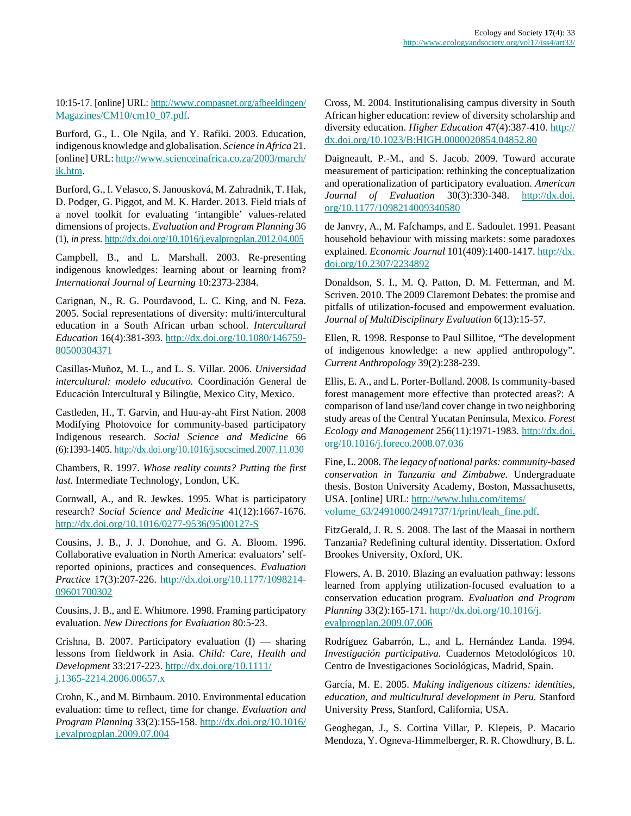10:15-17. [online] URL: [http://www.compasnet.org/afbeeldingen/](http://www.compasnet.org/afbeeldingen/Magazines/CM10/cm10_07.pdf) [Magazines/CM10/cm10\\_07.pdf](http://www.compasnet.org/afbeeldingen/Magazines/CM10/cm10_07.pdf).

Burford, G., L. Ole Ngila, and Y. Rafiki. 2003. Education, indigenous knowledge and globalisation. *Science in Africa* 21. [online] URL: [http://www.scienceinafrica.co.za/2003/march/](http://www.scienceinafrica.co.za/2003/march/ik.htm) [ik.htm.](http://www.scienceinafrica.co.za/2003/march/ik.htm)

Burford, G., I. Velasco, S. Janousková, M. Zahradnik, T. Hak, D. Podger, G. Piggot, and M. K. Harder. 2013. Field trials of a novel toolkit for evaluating 'intangible' values-related dimensions of projects. *Evaluation and Program Planning* 36 (1), *in press.* <http://dx.doi.org/10.1016/j.evalprogplan.2012.04.005>

Campbell, B., and L. Marshall. 2003. Re-presenting indigenous knowledges: learning about or learning from? *International Journal of Learning* 10:2373-2384.

Carignan, N., R. G. Pourdavood, L. C. King, and N. Feza. 2005. Social representations of diversity: multi/intercultural education in a South African urban school. *Intercultural Education* 16(4):381-393. [http://dx.doi.org/10.1080/146759-](http://dx.doi.org/10.1080/14675980500304371) [80500304371](http://dx.doi.org/10.1080/14675980500304371)

Casillas-Muñoz, M. L., and L. S. Villar. 2006. *Universidad intercultural: modelo educativo.* Coordinación General de Educación Intercultural y Bilingüe, Mexico City, Mexico.

Castleden, H., T. Garvin, and Huu-ay-aht First Nation. 2008 Modifying Photovoice for community-based participatory Indigenous research. *Social Science and Medicine* 66 (6):1393-1405. <http://dx.doi.org/10.1016/j.socscimed.2007.11.030>

Chambers, R. 1997. *Whose reality counts? Putting the first last.* Intermediate Technology, London, UK.

Cornwall, A., and R. Jewkes. 1995. What is participatory research? *Social Science and Medicine* 41(12):1667-1676. [http://dx.doi.org/10.1016/0277-9536\(95\)00127-S](http://dx.doi.org/10.1016/0277-9536(95)00127-S)

Cousins, J. B., J. J. Donohue, and G. A. Bloom. 1996. Collaborative evaluation in North America: evaluators' selfreported opinions, practices and consequences. *Evaluation Practice* 17(3):207-226. [http://dx.doi.org/10.1177/1098214-](http://dx.doi.org/10.1177/109821409601700302) [09601700302](http://dx.doi.org/10.1177/109821409601700302)

Cousins, J. B., and E. Whitmore. 1998. Framing participatory evaluation. *New Directions for Evaluation* 80:5-23.

Crishna, B. 2007. Participatory evaluation (I) — sharing lessons from fieldwork in Asia. *Child: Care, Health and Development* 33:217-223. [http://dx.doi.org/10.1111/](http://dx.doi.org/10.1111/j.1365-2214.2006.00657.x) [j.1365-2214.2006.00657.x](http://dx.doi.org/10.1111/j.1365-2214.2006.00657.x)

Crohn, K., and M. Birnbaum. 2010. Environmental education evaluation: time to reflect, time for change. *Evaluation and Program Planning* 33(2):155-158. [http://dx.doi.org/10.1016/](http://dx.doi.org/10.1016/j.evalprogplan.2009.07.004) [j.evalprogplan.2009.07.004](http://dx.doi.org/10.1016/j.evalprogplan.2009.07.004)

Cross, M. 2004. Institutionalising campus diversity in South African higher education: review of diversity scholarship and diversity education. *Higher Education* 47(4):387-410. [http://](http://dx.doi.org/10.1023/B:HIGH.0000020854.04852.80) [dx.doi.org/10.1023/B:HIGH.0000020854.04852.80](http://dx.doi.org/10.1023/B:HIGH.0000020854.04852.80)

Daigneault, P.-M., and S. Jacob. 2009. Toward accurate measurement of participation: rethinking the conceptualization and operationalization of participatory evaluation. *American Journal of Evaluation* 30(3):330-348. [http://dx.doi.](http://dx.doi.org/10.1177/1098214009340580) [org/10.1177/1098214009340580](http://dx.doi.org/10.1177/1098214009340580)

de Janvry, A., M. Fafchamps, and E. Sadoulet. 1991. Peasant household behaviour with missing markets: some paradoxes explained. *Economic Journal* 101(409):1400-1417. [http://dx.](http://dx.doi.org/10.2307/2234892) [doi.org/10.2307/2234892](http://dx.doi.org/10.2307/2234892)

Donaldson, S. I., M. Q. Patton, D. M. Fetterman, and M. Scriven. 2010. The 2009 Claremont Debates: the promise and pitfalls of utilization-focused and empowerment evaluation. *Journal of MultiDisciplinary Evaluation* 6(13):15-57.

Ellen, R. 1998. Response to Paul Sillitoe, "The development of indigenous knowledge: a new applied anthropology". *Current Anthropology* 39(2):238-239.

Ellis, E. A., and L. Porter-Bolland. 2008. Is community-based forest management more effective than protected areas?: A comparison of land use/land cover change in two neighboring study areas of the Central Yucatan Peninsula, Mexico. *Forest Ecology and Management* 256(11):1971-1983. [http://dx.doi.](http://dx.doi.org/10.1016/j.foreco.2008.07.036) [org/10.1016/j.foreco.2008.07.036](http://dx.doi.org/10.1016/j.foreco.2008.07.036)

Fine, L. 2008. *The legacy of national parks: community-based conservation in Tanzania and Zimbabwe.* Undergraduate thesis. Boston University Academy, Boston, Massachusetts, USA. [online] URL: [http://www.lulu.com/items/](http://www.lulu.com/items/volume_63/2491000/2491737/1/print/leah_fine.pdf) [volume\\_63/2491000/2491737/1/print/leah\\_fine.pdf.](http://www.lulu.com/items/volume_63/2491000/2491737/1/print/leah_fine.pdf)

FitzGerald, J. R. S. 2008. The last of the Maasai in northern Tanzania? Redefining cultural identity. Dissertation. Oxford Brookes University, Oxford, UK.

Flowers, A. B. 2010. Blazing an evaluation pathway: lessons learned from applying utilization-focused evaluation to a conservation education program. *Evaluation and Program Planning* 33(2):165-171. [http://dx.doi.org/10.1016/j.](http://dx.doi.org/10.1016/j.evalprogplan.2009.07.006) [evalprogplan.2009.07.006](http://dx.doi.org/10.1016/j.evalprogplan.2009.07.006)

Rodríguez Gabarrón, L., and L. Hernández Landa. 1994. *Investigación participativa.* Cuadernos Metodológicos 10. Centro de Investigaciones Sociológicas, Madrid, Spain.

García, M. E. 2005. *Making indigenous citizens: identities, education, and multicultural development in Peru.* Stanford University Press, Stanford, California, USA.

Geoghegan, J., S. Cortina Villar, P. Klepeis, P. Macario Mendoza, Y. Ogneva-Himmelberger, R. R. Chowdhury, B. L.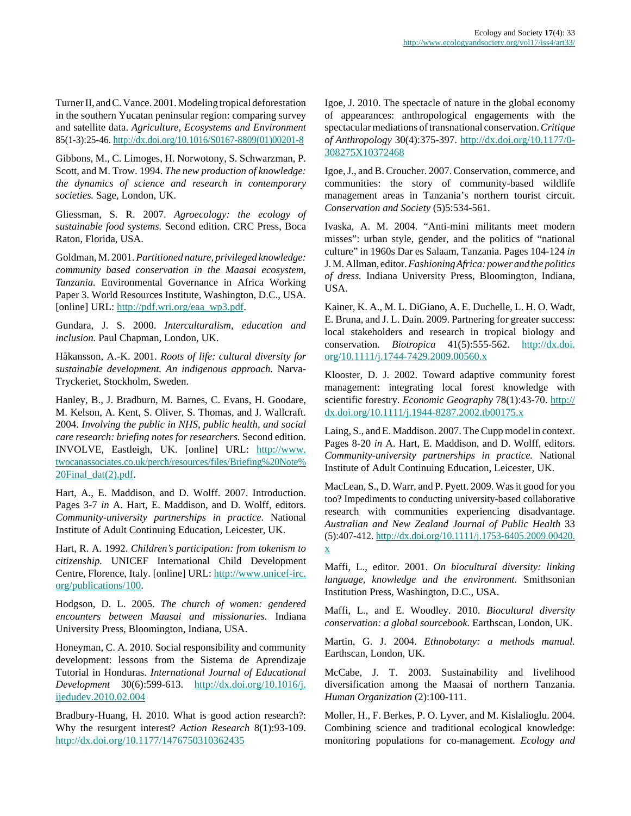Turner II, and C. Vance. 2001. Modeling tropical deforestation in the southern Yucatan peninsular region: comparing survey and satellite data. *Agriculture, Ecosystems and Environment* 85(1-3):25-46. [http://dx.doi.org/10.1016/S0167-8809\(01\)00201-8](http://dx.doi.org/10.1016/S0167-8809(01)00201-8)

Gibbons, M., C. Limoges, H. Norwotony, S. Schwarzman, P. Scott, and M. Trow. 1994. *The new production of knowledge: the dynamics of science and research in contemporary societies.* Sage, London, UK.

Gliessman, S. R. 2007. *Agroecology: the ecology of sustainable food systems.* Second edition. CRC Press, Boca Raton, Florida, USA.

Goldman, M. 2001. *Partitioned nature, privileged knowledge: community based conservation in the Maasai ecosystem, Tanzania.* Environmental Governance in Africa Working Paper 3. World Resources Institute, Washington, D.C., USA. [online] URL: [http://pdf.wri.org/eaa\\_wp3.pdf](http://pdf.wri.org/eaa_wp3.pdf).

Gundara, J. S. 2000. *Interculturalism, education and inclusion.* Paul Chapman, London, UK.

Håkansson, A.-K. 2001. *Roots of life: cultural diversity for sustainable development. An indigenous approach.* Narva-Tryckeriet, Stockholm, Sweden.

Hanley, B., J. Bradburn, M. Barnes, C. Evans, H. Goodare, M. Kelson, A. Kent, S. Oliver, S. Thomas, and J. Wallcraft. 2004. *Involving the public in NHS, public health, and social care research: briefing notes for researchers.* Second edition. INVOLVE, Eastleigh, UK. [online] URL: [http://www.](http://www.twocanassociates.co.uk/perch/resources/files/Briefing%20Note%20Final_dat(2).pdf) [twocanassociates.co.uk/perch/resources/files/Briefing%20Note%](http://www.twocanassociates.co.uk/perch/resources/files/Briefing%20Note%20Final_dat(2).pdf) [20Final\\_dat\(2\).pdf](http://www.twocanassociates.co.uk/perch/resources/files/Briefing%20Note%20Final_dat(2).pdf).

Hart, A., E. Maddison, and D. Wolff. 2007. Introduction. Pages 3-7 *in* A. Hart, E. Maddison, and D. Wolff, editors. *Community-university partnerships in practice.* National Institute of Adult Continuing Education, Leicester, UK.

Hart, R. A. 1992. *Children's participation: from tokenism to citizenship.* UNICEF International Child Development Centre, Florence, Italy. [online] URL: [http://www.unicef-irc.](http://www.unicef-irc.org/publications/100) [org/publications/100.](http://www.unicef-irc.org/publications/100)

Hodgson, D. L. 2005. *The church of women: gendered encounters between Maasai and missionaries.* Indiana University Press, Bloomington, Indiana, USA.

Honeyman, C. A. 2010. Social responsibility and community development: lessons from the Sistema de Aprendizaje Tutorial in Honduras. *International Journal of Educational Development* 30(6):599-613. [http://dx.doi.org/10.1016/j.](http://dx.doi.org/10.1016/j.ijedudev.2010.02.004) [ijedudev.2010.02.004](http://dx.doi.org/10.1016/j.ijedudev.2010.02.004)

Bradbury-Huang, H. 2010. What is good action research?: Why the resurgent interest? *Action Research* 8(1):93-109. <http://dx.doi.org/10.1177/1476750310362435>

Igoe, J. 2010. The spectacle of nature in the global economy of appearances: anthropological engagements with the spectacular mediations of transnational conservation. *Critique of Anthropology* 30(4):375-397. [http://dx.doi.org/10.1177/0-](http://dx.doi.org/10.1177/0308275X10372468) [308275X10372468](http://dx.doi.org/10.1177/0308275X10372468)

Igoe, J., and B. Croucher. 2007. Conservation, commerce, and communities: the story of community-based wildlife management areas in Tanzania's northern tourist circuit. *Conservation and Society* (5)5:534-561.

Ivaska, A. M. 2004. "Anti-mini militants meet modern misses": urban style, gender, and the politics of "national culture" in 1960s Dar es Salaam, Tanzania. Pages 104-124 *in* J. M. Allman, editor. *Fashioning Africa: power and the politics of dress.* Indiana University Press, Bloomington, Indiana, USA.

Kainer, K. A., M. L. DiGiano, A. E. Duchelle, L. H. O. Wadt, E. Bruna, and J. L. Dain. 2009. Partnering for greater success: local stakeholders and research in tropical biology and conservation. *Biotropica* 41(5):555-562. [http://dx.doi.](http://dx.doi.org/10.1111/j.1744-7429.2009.00560.x) [org/10.1111/j.1744-7429.2009.00560.x](http://dx.doi.org/10.1111/j.1744-7429.2009.00560.x)

Klooster, D. J. 2002. Toward adaptive community forest management: integrating local forest knowledge with scientific forestry. *Economic Geography* 78(1):43-70. [http://](http://dx.doi.org/10.1111/j.1944-8287.2002.tb00175.x) [dx.doi.org/10.1111/j.1944-8287.2002.tb00175.x](http://dx.doi.org/10.1111/j.1944-8287.2002.tb00175.x)

Laing, S., and E. Maddison. 2007. The Cupp model in context. Pages 8-20 *in* A. Hart, E. Maddison, and D. Wolff, editors. *Community-university partnerships in practice.* National Institute of Adult Continuing Education, Leicester, UK.

MacLean, S., D. Warr, and P. Pyett. 2009. Was it good for you too? Impediments to conducting university-based collaborative research with communities experiencing disadvantage. *Australian and New Zealand Journal of Public Health* 33 (5):407-412. [http://dx.doi.org/10.1111/j.1753-6405.2009.00420.](http://dx.doi.org/10.1111/j.1753-6405.2009.00420.x) [x](http://dx.doi.org/10.1111/j.1753-6405.2009.00420.x)

Maffi, L., editor. 2001. *On biocultural diversity: linking language, knowledge and the environment.* Smithsonian Institution Press, Washington, D.C., USA.

Maffi, L., and E. Woodley. 2010. *Biocultural diversity conservation: a global sourcebook.* Earthscan, London, UK.

Martin, G. J. 2004. *Ethnobotany: a methods manual.* Earthscan, London, UK.

McCabe, J. T. 2003. Sustainability and livelihood diversification among the Maasai of northern Tanzania. *Human Organization* (2):100-111.

Moller, H., F. Berkes, P. O. Lyver, and M. Kislalioglu. 2004. Combining science and traditional ecological knowledge: monitoring populations for co-management. *Ecology and*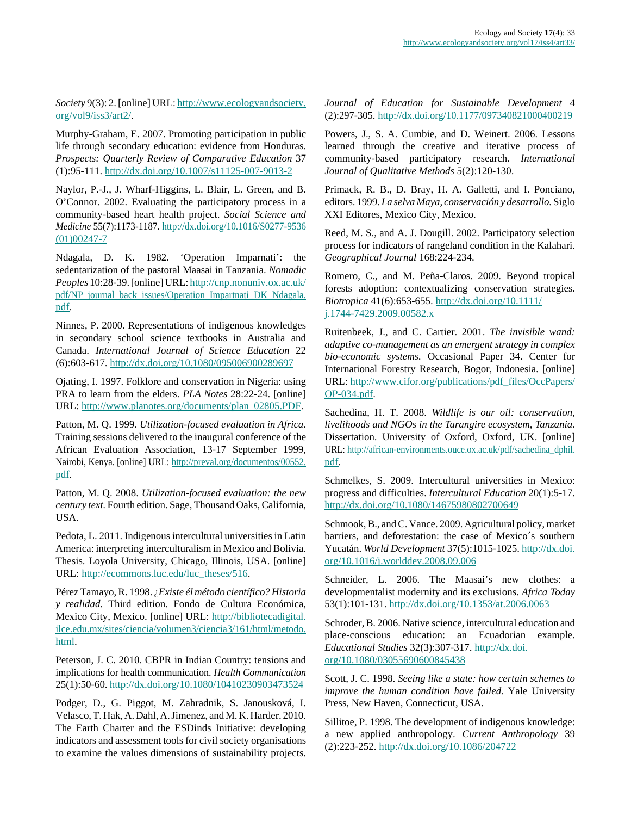*Society* 9(3): 2. [online] URL: [http://www.ecologyandsociety.](http://www.ecologyandsociety.org/vol9/iss3/art2/) [org/vol9/iss3/art2/](http://www.ecologyandsociety.org/vol9/iss3/art2/).

Murphy-Graham, E. 2007. Promoting participation in public life through secondary education: evidence from Honduras. *Prospects: Quarterly Review of Comparative Education* 37 (1):95-111. <http://dx.doi.org/10.1007/s11125-007-9013-2>

Naylor, P.-J., J. Wharf-Higgins, L. Blair, L. Green, and B. O'Connor. 2002. Evaluating the participatory process in a community-based heart health project. *Social Science and Medicine* 55(7):1173-1187. [http://dx.doi.org/10.1016/S0277-9536](http://dx.doi.org/10.1016/S0277-9536(01)00247-7) [\(01\)00247-7](http://dx.doi.org/10.1016/S0277-9536(01)00247-7)

Ndagala, D. K. 1982. 'Operation Imparnati': the sedentarization of the pastoral Maasai in Tanzania. *Nomadic Peoples* 10:28-39. [online] URL: [http://cnp.nonuniv.ox.ac.uk/](http://cnp.nonuniv.ox.ac.uk/pdf/NP_journal_back_issues/Operation_Impartnati_DK_Ndagala.pdf) [pdf/NP\\_journal\\_back\\_issues/Operation\\_Impartnati\\_DK\\_Ndagala.](http://cnp.nonuniv.ox.ac.uk/pdf/NP_journal_back_issues/Operation_Impartnati_DK_Ndagala.pdf) [pdf](http://cnp.nonuniv.ox.ac.uk/pdf/NP_journal_back_issues/Operation_Impartnati_DK_Ndagala.pdf).

Ninnes, P. 2000. Representations of indigenous knowledges in secondary school science textbooks in Australia and Canada. *International Journal of Science Education* 22 (6):603-617. <http://dx.doi.org/10.1080/095006900289697>

Ojating, I. 1997. Folklore and conservation in Nigeria: using PRA to learn from the elders. *PLA Notes* 28:22-24. [online] URL: [http://www.planotes.org/documents/plan\\_02805.PDF](http://www.planotes.org/documents/plan_02805.PDF).

Patton, M. Q. 1999. *Utilization-focused evaluation in Africa.* Training sessions delivered to the inaugural conference of the African Evaluation Association, 13-17 September 1999, Nairobi, Kenya. [online] URL: [http://preval.org/documentos/00552.](http://preval.org/documentos/00552.pdf) [pdf](http://preval.org/documentos/00552.pdf).

Patton, M. Q. 2008. *Utilization-focused evaluation: the new century text.* Fourth edition. Sage, Thousand Oaks, California, USA.

Pedota, L. 2011. Indigenous intercultural universities in Latin America: interpreting interculturalism in Mexico and Bolivia. Thesis. Loyola University, Chicago, Illinois, USA. [online] URL: [http://ecommons.luc.edu/luc\\_theses/516](http://ecommons.luc.edu/luc_theses/516).

Pérez Tamayo, R. 1998. ¿*Existe él método científico? Historia y realidad.* Third edition. Fondo de Cultura Económica, Mexico City, Mexico. [online] URL: [http://bibliotecadigital.](http://bibliotecadigital.ilce.edu.mx/sites/ciencia/volumen3/ciencia3/161/html/metodo.html) [ilce.edu.mx/sites/ciencia/volumen3/ciencia3/161/html/metodo.](http://bibliotecadigital.ilce.edu.mx/sites/ciencia/volumen3/ciencia3/161/html/metodo.html) [html](http://bibliotecadigital.ilce.edu.mx/sites/ciencia/volumen3/ciencia3/161/html/metodo.html).

Peterson, J. C. 2010. CBPR in Indian Country: tensions and implications for health communication. *Health Communication* 25(1):50-60.<http://dx.doi.org/10.1080/10410230903473524>

Podger, D., G. Piggot, M. Zahradnik, S. Janousková, I. Velasco, T. Hak, A. Dahl, A. Jimenez, and M. K. Harder. 2010. The Earth Charter and the ESDinds Initiative: developing indicators and assessment tools for civil society organisations to examine the values dimensions of sustainability projects. *Journal of Education for Sustainable Development* 4 (2):297-305. <http://dx.doi.org/10.1177/097340821000400219>

Powers, J., S. A. Cumbie, and D. Weinert. 2006. Lessons learned through the creative and iterative process of community-based participatory research. *International Journal of Qualitative Methods* 5(2):120-130.

Primack, R. B., D. Bray, H. A. Galletti, and I. Ponciano, editors. 1999. *La selva Maya, conservación y desarrollo.* Siglo XXI Editores, Mexico City, Mexico.

Reed, M. S., and A. J. Dougill. 2002. Participatory selection process for indicators of rangeland condition in the Kalahari. *Geographical Journal* 168:224-234.

Romero, C., and M. Peña-Claros. 2009. Beyond tropical forests adoption: contextualizing conservation strategies. *Biotropica* 41(6):653-655. [http://dx.doi.org/10.1111/](http://dx.doi.org/10.1111/j.1744-7429.2009.00582.x) [j.1744-7429.2009.00582.x](http://dx.doi.org/10.1111/j.1744-7429.2009.00582.x)

Ruitenbeek, J., and C. Cartier. 2001. *The invisible wand: adaptive co-management as an emergent strategy in complex bio-economic systems.* Occasional Paper 34. Center for International Forestry Research, Bogor, Indonesia. [online] URL: [http://www.cifor.org/publications/pdf\\_files/OccPapers/](http://www.cifor.org/publications/pdf_files/OccPapers/OP-034.pdf) [OP-034.pdf.](http://www.cifor.org/publications/pdf_files/OccPapers/OP-034.pdf)

Sachedina, H. T. 2008. *Wildlife is our oil: conservation, livelihoods and NGOs in the Tarangire ecosystem, Tanzania.* Dissertation. University of Oxford, Oxford, UK. [online] URL: [http://african-environments.ouce.ox.ac.uk/pdf/sachedina\\_dphil.](http://african-environments.ouce.ox.ac.uk/pdf/sachedina_dphil.pdf) [pdf](http://african-environments.ouce.ox.ac.uk/pdf/sachedina_dphil.pdf).

Schmelkes, S. 2009. Intercultural universities in Mexico: progress and difficulties. *Intercultural Education* 20(1):5-17. <http://dx.doi.org/10.1080/14675980802700649>

Schmook, B., and C. Vance. 2009. Agricultural policy, market barriers, and deforestation: the case of Mexico´s southern Yucatán. *World Development* 37(5):1015-1025. [http://dx.doi.](http://dx.doi.org/10.1016/j.worlddev.2008.09.006) [org/10.1016/j.worlddev.2008.09.006](http://dx.doi.org/10.1016/j.worlddev.2008.09.006)

Schneider, L. 2006. The Maasai's new clothes: a developmentalist modernity and its exclusions. *Africa Today* 53(1):101-131. <http://dx.doi.org/10.1353/at.2006.0063>

Schroder, B. 2006. Native science, intercultural education and place-conscious education: an Ecuadorian example. *Educational Studies* 32(3):307-317. [http://dx.doi.](http://dx.doi.org/10.1080/03055690600845438) [org/10.1080/03055690600845438](http://dx.doi.org/10.1080/03055690600845438)

Scott, J. C. 1998. *Seeing like a state: how certain schemes to improve the human condition have failed.* Yale University Press, New Haven, Connecticut, USA.

Sillitoe, P. 1998. The development of indigenous knowledge: a new applied anthropology. *Current Anthropology* 39 (2):223-252. <http://dx.doi.org/10.1086/204722>